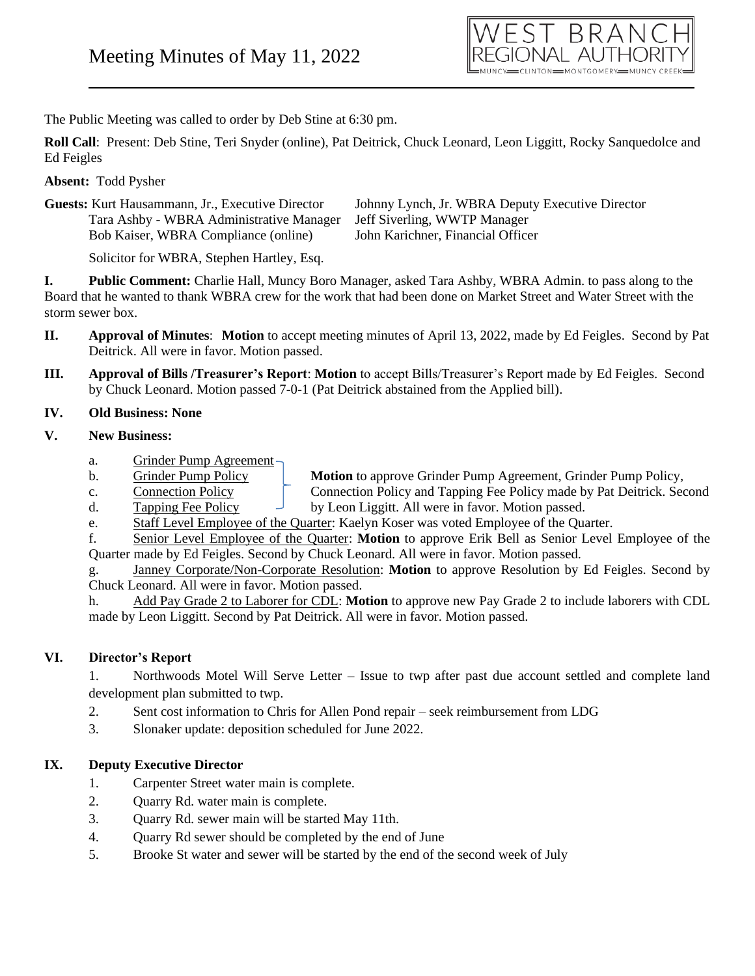

The Public Meeting was called to order by Deb Stine at 6:30 pm.

**Roll Call**: Present: Deb Stine, Teri Snyder (online), Pat Deitrick, Chuck Leonard, Leon Liggitt, Rocky Sanquedolce and Ed Feigles

#### **Absent:** Todd Pysher

| <b>Guests:</b> Kurt Hausammann, Jr., Executive Director | Johnny Lynch,   |
|---------------------------------------------------------|-----------------|
| Tara Ashby - WBRA Administrative Manager                | Jeff Siverling, |
| Bob Kaiser, WBRA Compliance (online)                    | John Karichne   |

Jr. WBRA Deputy Executive Director WWTP Manager r, Financial Officer

Solicitor for WBRA, Stephen Hartley, Esq.

**I. Public Comment:** Charlie Hall, Muncy Boro Manager, asked Tara Ashby, WBRA Admin. to pass along to the Board that he wanted to thank WBRA crew for the work that had been done on Market Street and Water Street with the storm sewer box.

- **II. Approval of Minutes**: **Motion** to accept meeting minutes of April 13, 2022, made by Ed Feigles. Second by Pat Deitrick. All were in favor. Motion passed.
- **III. Approval of Bills /Treasurer's Report**: **Motion** to accept Bills/Treasurer's Report made by Ed Feigles. Second by Chuck Leonard. Motion passed 7-0-1 (Pat Deitrick abstained from the Applied bill).

#### **IV. Old Business: None**

## **V. New Business:**

- a. Grinder Pump Agreement
- b. Grinder Pump Policy **Motion** to approve Grinder Pump Agreement, Grinder Pump Policy,
- c. Connection Policy Connection Policy and Tapping Fee Policy made by Pat Deitrick. Second
- d. Tapping Fee Policy  $\Box$  by Leon Liggitt. All were in favor. Motion passed.
- e. Staff Level Employee of the Quarter: Kaelyn Koser was voted Employee of the Quarter.

f. Senior Level Employee of the Quarter: **Motion** to approve Erik Bell as Senior Level Employee of the Quarter made by Ed Feigles. Second by Chuck Leonard. All were in favor. Motion passed.

g. Janney Corporate/Non-Corporate Resolution: **Motion** to approve Resolution by Ed Feigles. Second by Chuck Leonard. All were in favor. Motion passed.

h. Add Pay Grade 2 to Laborer for CDL: **Motion** to approve new Pay Grade 2 to include laborers with CDL made by Leon Liggitt. Second by Pat Deitrick. All were in favor. Motion passed.

# **VI. Director's Report**

1. Northwoods Motel Will Serve Letter – Issue to twp after past due account settled and complete land development plan submitted to twp.

- 2. Sent cost information to Chris for Allen Pond repair seek reimbursement from LDG
- 3. Slonaker update: deposition scheduled for June 2022.

# **IX. Deputy Executive Director**

- 1. Carpenter Street water main is complete.
- 2. Quarry Rd. water main is complete.
- 3. Quarry Rd. sewer main will be started May 11th.
- 4. Quarry Rd sewer should be completed by the end of June
- 5. Brooke St water and sewer will be started by the end of the second week of July